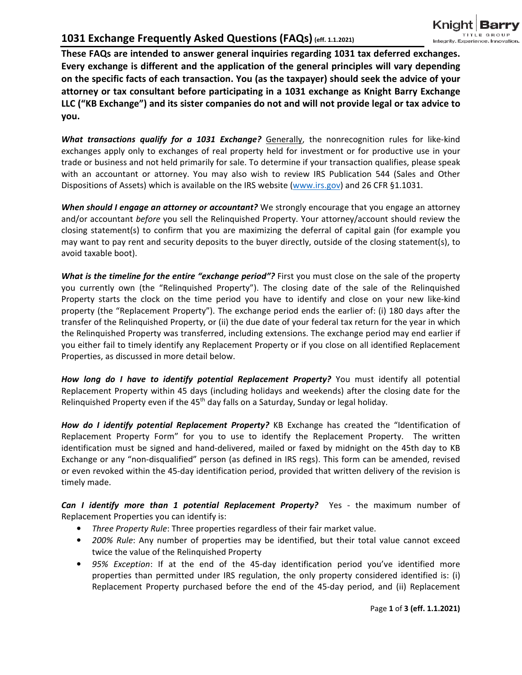**These FAQs are intended to answer general inquiries regarding 1031 tax deferred exchanges. Every exchange is different and the application of the general principles will vary depending on the specific facts of each transaction. You (as the taxpayer) should seek the advice of your attorney or tax consultant before participating in a 1031 exchange as Knight Barry Exchange LLC ("KB Exchange") and its sister companies do not and will not provide legal or tax advice to you.** 

What transactions qualify for a 1031 Exchange? Generally, the nonrecognition rules for like-kind exchanges apply only to exchanges of real property held for investment or for productive use in your trade or business and not held primarily for sale. To determine if your transaction qualifies, please speak with an accountant or attorney. You may also wish to review IRS Publication 544 (Sales and Other Dispositions of Assets) which is available on the IRS website (www.irs.gov) and 26 CFR §1.1031.

*When should I engage an attorney or accountant?* We strongly encourage that you engage an attorney and/or accountant *before* you sell the Relinquished Property. Your attorney/account should review the closing statement(s) to confirm that you are maximizing the deferral of capital gain (for example you may want to pay rent and security deposits to the buyer directly, outside of the closing statement(s), to avoid taxable boot).

*What is the timeline for the entire "exchange period"?* First you must close on the sale of the property you currently own (the "Relinquished Property"). The closing date of the sale of the Relinquished Property starts the clock on the time period you have to identify and close on your new like-kind property (the "Replacement Property"). The exchange period ends the earlier of: (i) 180 days after the transfer of the Relinquished Property, or (ii) the due date of your federal tax return for the year in which the Relinquished Property was transferred, including extensions. The exchange period may end earlier if you either fail to timely identify any Replacement Property or if you close on all identified Replacement Properties, as discussed in more detail below.

How long do I have to identify potential Replacement Property? You must identify all potential Replacement Property within 45 days (including holidays and weekends) after the closing date for the Relinquished Property even if the  $45<sup>th</sup>$  day falls on a Saturday, Sunday or legal holiday.

How do I identify potential Replacement Property? KB Exchange has created the "Identification of Replacement Property Form" for you to use to identify the Replacement Property. The written identification must be signed and hand-delivered, mailed or faxed by midnight on the 45th day to KB Exchange or any "non-disqualified" person (as defined in IRS regs). This form can be amended, revised or even revoked within the 45-day identification period, provided that written delivery of the revision is timely made.

*Can I identify more than 1 potential Replacement Property?* Yes - the maximum number of Replacement Properties you can identify is:

- *Three Property Rule*: Three properties regardless of their fair market value.
- *200% Rule*: Any number of properties may be identified, but their total value cannot exceed twice the value of the Relinquished Property
- *95% Exception*: If at the end of the 45-day identification period you've identified more properties than permitted under IRS regulation, the only property considered identified is: (i) Replacement Property purchased before the end of the 45-day period, and (ii) Replacement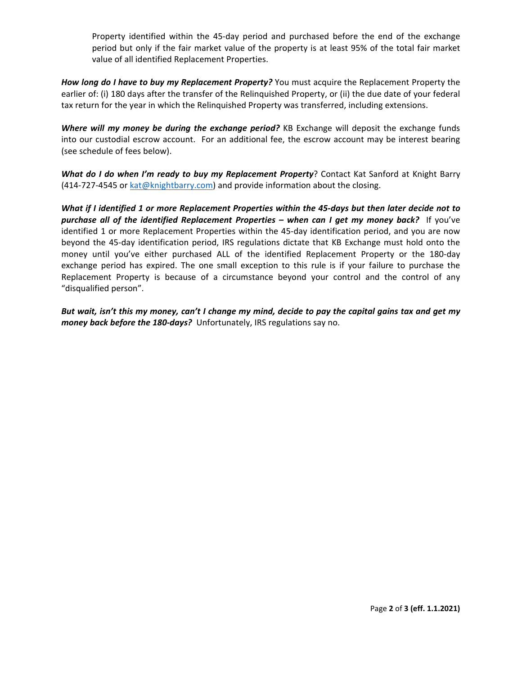Property identified within the 45-day period and purchased before the end of the exchange period but only if the fair market value of the property is at least 95% of the total fair market value of all identified Replacement Properties.

*How long do I have to buy my Replacement Property?* You must acquire the Replacement Property the earlier of: (i) 180 days after the transfer of the Relinquished Property, or (ii) the due date of your federal tax return for the year in which the Relinquished Property was transferred, including extensions.

*Where will my money be during the exchange period?* KB Exchange will deposit the exchange funds into our custodial escrow account. For an additional fee, the escrow account may be interest bearing (see schedule of fees below).

*What do I do when I'm ready to buy my Replacement Property*? Contact Kat Sanford at Knight Barry (414-727-4545 or kat@knightbarry.com) and provide information about the closing.

*What if I identified 1 or more Replacement Properties within the 45-days but then later decide not to purchase all of the identified Replacement Properties – when can I get my money back?* If you've identified 1 or more Replacement Properties within the 45-day identification period, and you are now beyond the 45-day identification period, IRS regulations dictate that KB Exchange must hold onto the money until you've either purchased ALL of the identified Replacement Property or the 180-day exchange period has expired. The one small exception to this rule is if your failure to purchase the Replacement Property is because of a circumstance beyond your control and the control of any "disqualified person".

*But wait, isn't this my money, can't I change my mind, decide to pay the capital gains tax and get my money back before the 180-days?* Unfortunately, IRS regulations say no.